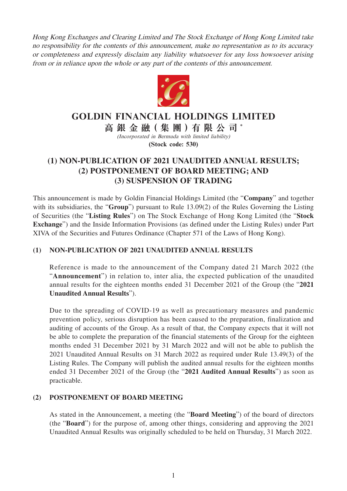Hong Kong Exchanges and Clearing Limited and The Stock Exchange of Hong Kong Limited take no responsibility for the contents of this announcement, make no representation as to its accuracy or completeness and expressly disclaim any liability whatsoever for any loss howsoever arising from or in reliance upon the whole or any part of the contents of this announcement.



# **GOLDIN FINANCIAL HOLDINGS LIMITED**

**高銀金融( 集 團 )有限公司** \* (Incorporated in Bermuda with limited liability)

**(Stock code: 530)**

## **(1) NON-PUBLICATION OF 2021 UNAUDITED ANNUAL RESULTS; (2) POSTPONEMENT OF BOARD MEETING; AND (3) SUSPENSION OF TRADING**

This announcement is made by Goldin Financial Holdings Limited (the "**Company**" and together with its subsidiaries, the "**Group**") pursuant to Rule 13.09(2) of the Rules Governing the Listing of Securities (the "**Listing Rules**") on The Stock Exchange of Hong Kong Limited (the "**Stock Exchange**") and the Inside Information Provisions (as defined under the Listing Rules) under Part XIVA of the Securities and Futures Ordinance (Chapter 571 of the Laws of Hong Kong).

### **(1) NON-PUBLICATION OF 2021 UNAUDITED ANNUAL RESULTS**

Reference is made to the announcement of the Company dated 21 March 2022 (the "**Announcement**") in relation to, inter alia, the expected publication of the unaudited annual results for the eighteen months ended 31 December 2021 of the Group (the "**2021 Unaudited Annual Results**").

Due to the spreading of COVID-19 as well as precautionary measures and pandemic prevention policy, serious disruption has been caused to the preparation, finalization and auditing of accounts of the Group. As a result of that, the Company expects that it will not be able to complete the preparation of the financial statements of the Group for the eighteen months ended 31 December 2021 by 31 March 2022 and will not be able to publish the 2021 Unaudited Annual Results on 31 March 2022 as required under Rule 13.49(3) of the Listing Rules. The Company will publish the audited annual results for the eighteen months ended 31 December 2021 of the Group (the "**2021 Audited Annual Results**") as soon as practicable.

### **(2) POSTPONEMENT OF BOARD MEETING**

As stated in the Announcement, a meeting (the "**Board Meeting**") of the board of directors (the "**Board**") for the purpose of, among other things, considering and approving the 2021 Unaudited Annual Results was originally scheduled to be held on Thursday, 31 March 2022.